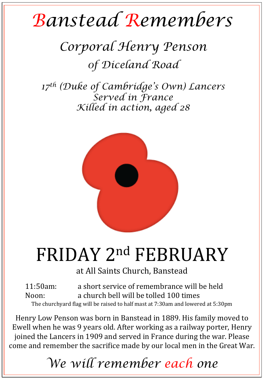## *Banstead Remembers*

## *Corporal Henry Penson 0f Diceland Road*

*17th (Duke of Cambridge's Own) Lancers Served in France Killed in action, aged 28* 



## FRIDAY 2nd FEBRUARY

at All Saints Church, Banstead

11:50am: a short service of remembrance will be held Noon: a church bell will be tolled 100 times The churchyard flag will be raised to half mast at 7:30am and lowered at 5:30pm

Henry Low Penson was born in Banstead in 1889. His family moved to Ewell when he was 9 years old. After working as a railway porter, Henry joined the Lancers in 1909 and served in France during the war. Please come and remember the sacrifice made by our local men in the Great War.

*We will remember each one*